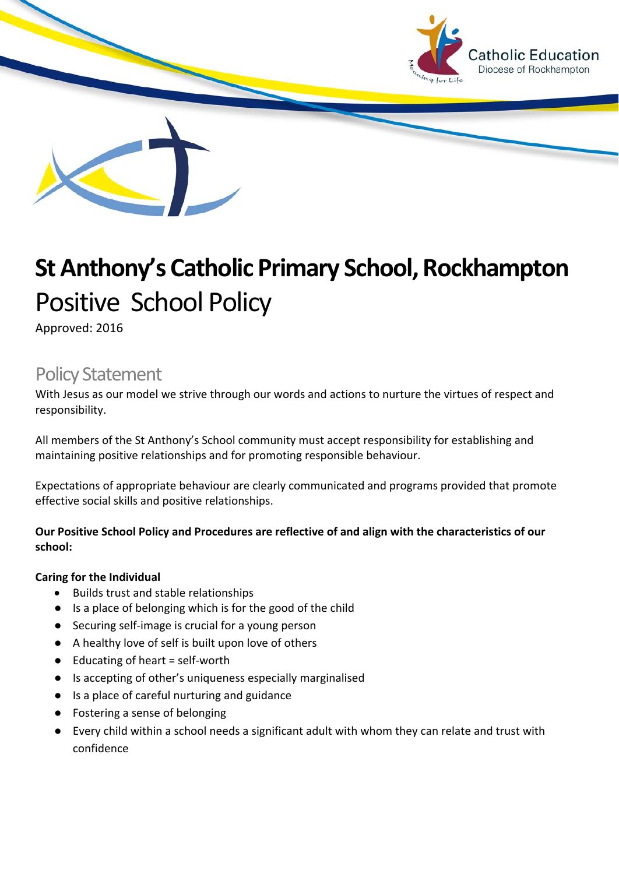

# **St Anthony's Catholic Primary School, Rockhampton** Positive School Policy

Approved: 2016

# Policy Statement

With Jesus as our model we strive through our words and actions to nurture the virtues of respect and responsibility.

All members of the St Anthony's School community must accept responsibility for establishing and maintaining positive relationships and for promoting responsible behaviour.

Expectations of appropriate behaviour are clearly communicated and programs provided that promote effective social skills and positive relationships.

### **Our Positive School Policy and Procedures are reflective of and align with the characteristics of our school:**

#### **Caring for the Individual**

- Builds trust and stable relationships
- Is a place of belonging which is for the good of the child
- Securing self-image is crucial for a young person
- A healthy love of self is built upon love of others
- $\bullet$  Educating of heart = self-worth
- Is accepting of other's uniqueness especially marginalised
- Is a place of careful nurturing and guidance
- Fostering a sense of belonging
- Every child within a school needs a significant adult with whom they can relate and trust with confidence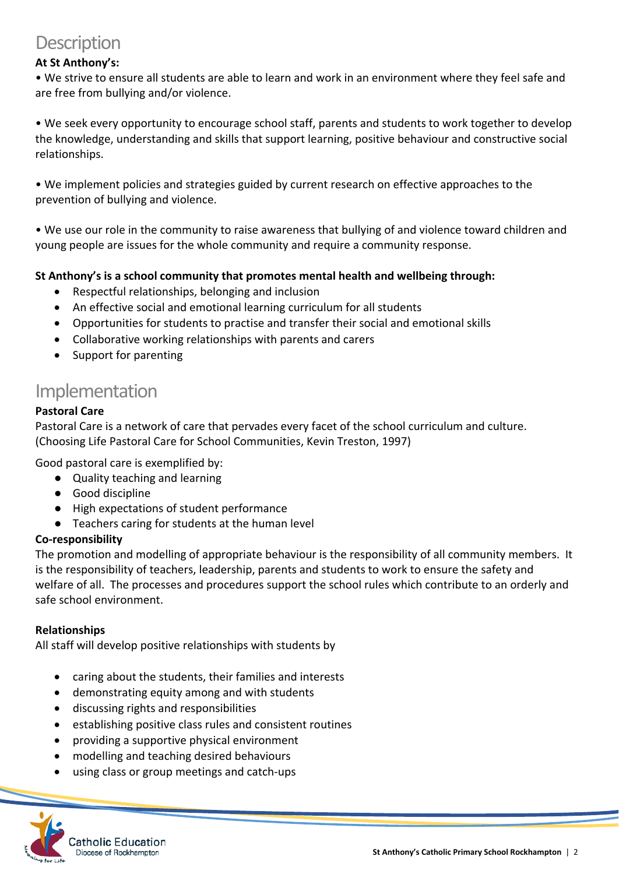# **Description**

## **At St Anthony's:**

• We strive to ensure all students are able to learn and work in an environment where they feel safe and are free from bullying and/or violence.

• We seek every opportunity to encourage school staff, parents and students to work together to develop the knowledge, understanding and skills that support learning, positive behaviour and constructive social relationships.

• We implement policies and strategies guided by current research on effective approaches to the prevention of bullying and violence.

• We use our role in the community to raise awareness that bullying of and violence toward children and young people are issues for the whole community and require a community response.

### **St Anthony's is a school community that promotes mental health and wellbeing through:**

- Respectful relationships, belonging and inclusion
- An effective social and emotional learning curriculum for all students
- Opportunities for students to practise and transfer their social and emotional skills
- Collaborative working relationships with parents and carers
- Support for parenting

# Implementation

### **Pastoral Care**

Pastoral Care is a network of care that pervades every facet of the school curriculum and culture. (Choosing Life Pastoral Care for School Communities, Kevin Treston, 1997)

Good pastoral care is exemplified by:

- Quality teaching and learning
- Good discipline
- High expectations of student performance
- Teachers caring for students at the human level

#### **Co-responsibility**

The promotion and modelling of appropriate behaviour is the responsibility of all community members. It is the responsibility of teachers, leadership, parents and students to work to ensure the safety and welfare of all. The processes and procedures support the school rules which contribute to an orderly and safe school environment.

#### **Relationships**

All staff will develop positive relationships with students by

- caring about the students, their families and interests
- demonstrating equity among and with students
- discussing rights and responsibilities
- establishing positive class rules and consistent routines
- providing a supportive physical environment
- modelling and teaching desired behaviours
- using class or group meetings and catch-ups

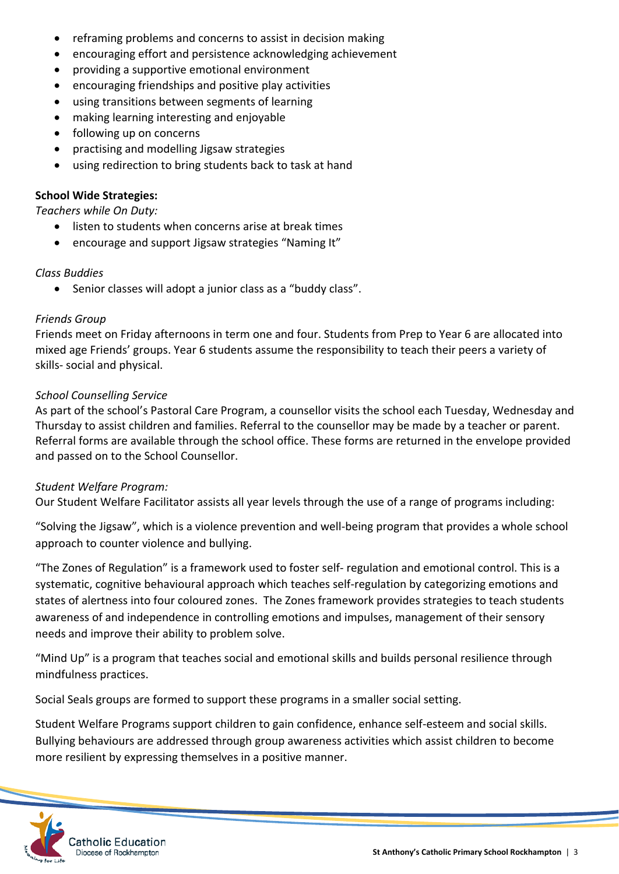- reframing problems and concerns to assist in decision making
- encouraging effort and persistence acknowledging achievement
- providing a supportive emotional environment
- encouraging friendships and positive play activities
- using transitions between segments of learning
- making learning interesting and enjoyable
- following up on concerns
- practising and modelling Jigsaw strategies
- using redirection to bring students back to task at hand

#### **School Wide Strategies:**

*Teachers while On Duty:*

- listen to students when concerns arise at break times
- encourage and support Jigsaw strategies "Naming It"

#### *Class Buddies*

• Senior classes will adopt a junior class as a "buddy class".

#### *Friends Group*

Friends meet on Friday afternoons in term one and four. Students from Prep to Year 6 are allocated into mixed age Friends' groups. Year 6 students assume the responsibility to teach their peers a variety of skills- social and physical.

#### *School Counselling Service*

As part of the school's Pastoral Care Program, a counsellor visits the school each Tuesday, Wednesday and Thursday to assist children and families. Referral to the counsellor may be made by a teacher or parent. Referral forms are available through the school office. These forms are returned in the envelope provided and passed on to the School Counsellor.

#### *Student Welfare Program:*

Our Student Welfare Facilitator assists all year levels through the use of a range of programs including:

"Solving the Jigsaw", which is a violence prevention and well-being program that provides a whole school approach to counter violence and bullying.

"The Zones of Regulation" is a framework used to foster self- regulation and emotional control. This is a systematic, cognitive behavioural approach which teaches self-regulation by categorizing emotions and states of alertness into four coloured zones. The Zones framework provides strategies to teach students awareness of and independence in controlling emotions and impulses, management of their sensory needs and improve their ability to problem solve.

"Mind Up" is a program that teaches social and emotional skills and builds personal resilience through mindfulness practices.

Social Seals groups are formed to support these programs in a smaller social setting.

Student Welfare Programs support children to gain confidence, enhance self-esteem and social skills. Bullying behaviours are addressed through group awareness activities which assist children to become more resilient by expressing themselves in a positive manner.